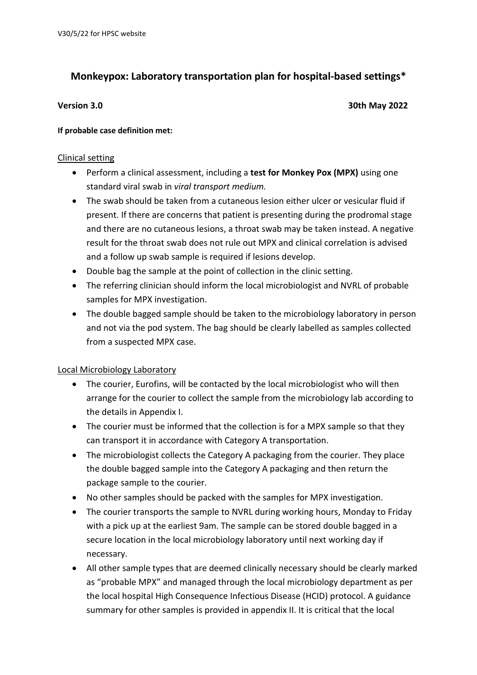# **Monkeypox: Laboratory transportation plan for hospital-based settings\***

**Version 3.0 30th May 2022**

# **If probable case definition met:**

# Clinical setting

- Perform a clinical assessment, including a **test for Monkey Pox (MPX)** using one standard viral swab in *viral transport medium.*
- The swab should be taken from a cutaneous lesion either ulcer or vesicular fluid if present. If there are concerns that patient is presenting during the prodromal stage and there are no cutaneous lesions, a throat swab may be taken instead. A negative result for the throat swab does not rule out MPX and clinical correlation is advised and a follow up swab sample is required if lesions develop.
- Double bag the sample at the point of collection in the clinic setting.
- The referring clinician should inform the local microbiologist and NVRL of probable samples for MPX investigation.
- The double bagged sample should be taken to the microbiology laboratory in person and not via the pod system. The bag should be clearly labelled as samples collected from a suspected MPX case.

# Local Microbiology Laboratory

- The courier, Eurofins, will be contacted by the local microbiologist who will then arrange for the courier to collect the sample from the microbiology lab according to the details in Appendix I.
- The courier must be informed that the collection is for a MPX sample so that they can transport it in accordance with Category A transportation.
- The microbiologist collects the Category A packaging from the courier. They place the double bagged sample into the Category A packaging and then return the package sample to the courier.
- No other samples should be packed with the samples for MPX investigation.
- The courier transports the sample to NVRL during working hours, Monday to Friday with a pick up at the earliest 9am. The sample can be stored double bagged in a secure location in the local microbiology laboratory until next working day if necessary.
- All other sample types that are deemed clinically necessary should be clearly marked as "probable MPX" and managed through the local microbiology department as per the local hospital High Consequence Infectious Disease (HCID) protocol. A guidance summary for other samples is provided in appendix II. It is critical that the local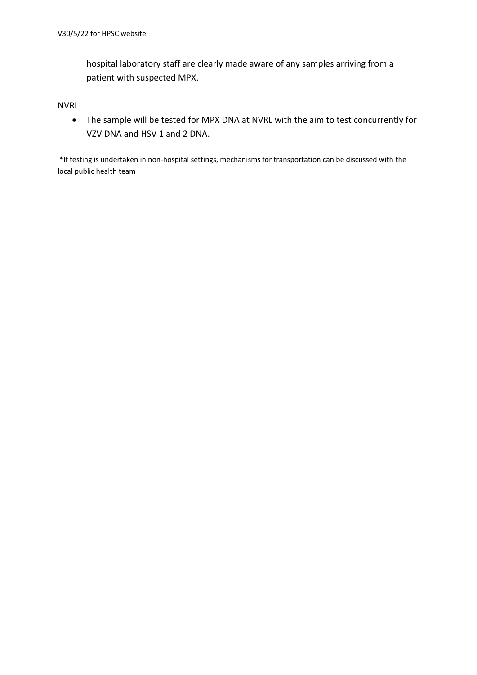hospital laboratory staff are clearly made aware of any samples arriving from a patient with suspected MPX.

### **NVRL**

• The sample will be tested for MPX DNA at NVRL with the aim to test concurrently for VZV DNA and HSV 1 and 2 DNA.

\*If testing is undertaken in non-hospital settings, mechanisms for transportation can be discussed with the local public health team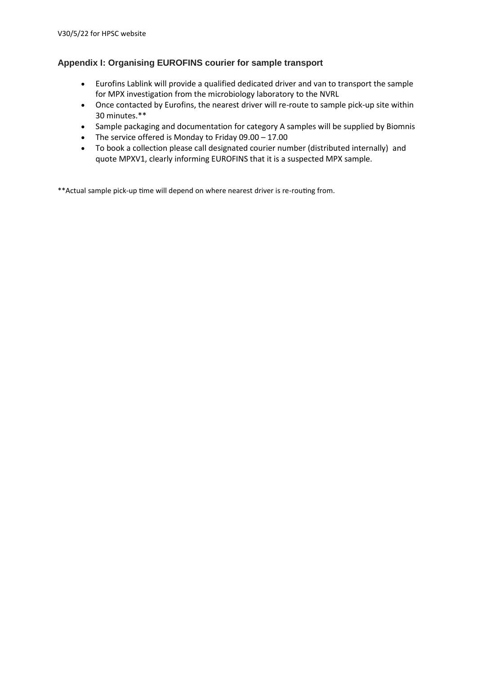## **Appendix I: Organising EUROFINS courier for sample transport**

- Eurofins Lablink will provide a qualified dedicated driver and van to transport the sample for MPX investigation from the microbiology laboratory to the NVRL
- Once contacted by Eurofins, the nearest driver will re-route to sample pick-up site within 30 minutes.\*\*
- Sample packaging and documentation for category A samples will be supplied by Biomnis
- The service offered is Monday to Friday 09.00 17.00
- To book a collection please call designated courier number (distributed internally) and quote MPXV1, clearly informing EUROFINS that it is a suspected MPX sample.

\*\*Actual sample pick-up time will depend on where nearest driver is re-routing from.